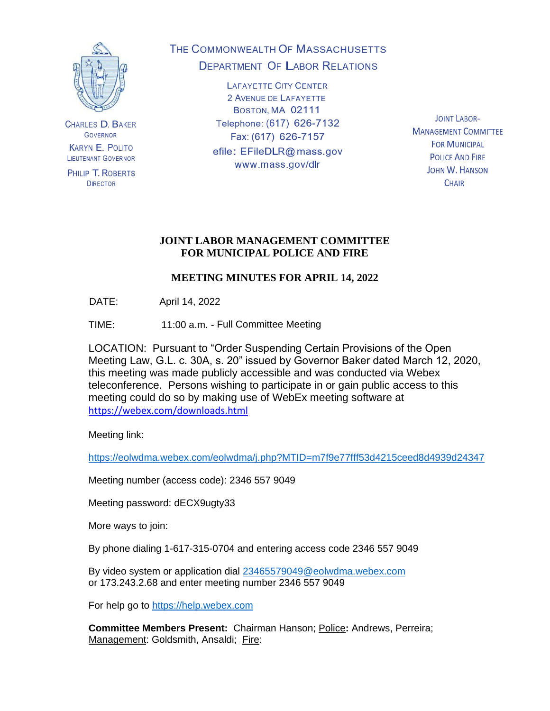

**CHARLES D. BAKER GOVERNOR KARYN E. POLITO** LIEUTENANT GOVERNOR

PHILIP T. ROBERTS **DIRECTOR** 

THE COMMONWEALTH OF MASSACHUSETTS **DEPARTMENT OF LABOR RELATIONS** 

> **LAFAYETTE CITY CENTER** 2 AVENUE DE LAFAYETTE BOSTON, MA 02111 Telephone: (617) 626-7132 Fax: (617) 626-7157 efile: EFileDLR@mass.gov www.mass.gov/dlr

**JOINT LABOR-MANAGEMENT COMMITTEE FOR MUNICIPAL POLICE AND FIRE** JOHN W. HANSON **CHAIR** 

# **JOINT LABOR MANAGEMENT COMMITTEE FOR MUNICIPAL POLICE AND FIRE**

# **MEETING MINUTES FOR APRIL 14, 2022**

DATE: April 14, 2022

TIME: 11:00 a.m. - Full Committee Meeting

LOCATION: Pursuant to "Order Suspending Certain Provisions of the Open Meeting Law, G.L. c. 30A, s. 20" issued by Governor Baker dated March 12, 2020, this meeting was made publicly accessible and was conducted via Webex teleconference. Persons wishing to participate in or gain public access to this meeting could do so by making use of WebEx meeting software at <https://webex.com/downloads.html>

Meeting link:

<https://eolwdma.webex.com/eolwdma/j.php?MTID=m7f9e77fff53d4215ceed8d4939d24347>

Meeting number (access code): 2346 557 9049

Meeting password: dECX9ugty33

More ways to join:

By phone dialing 1-617-315-0704 and entering access code 2346 557 9049

By video system or application dial [23465579049@eolwdma.webex.com](mailto:23465579049@eolwdma.webex.com) or 173.243.2.68 and enter meeting number 2346 557 9049

For help go to [https://help.webex.com](https://help.webex.com/)

**Committee Members Present:** Chairman Hanson; Police**:** Andrews, Perreira; Management: Goldsmith, Ansaldi; Fire: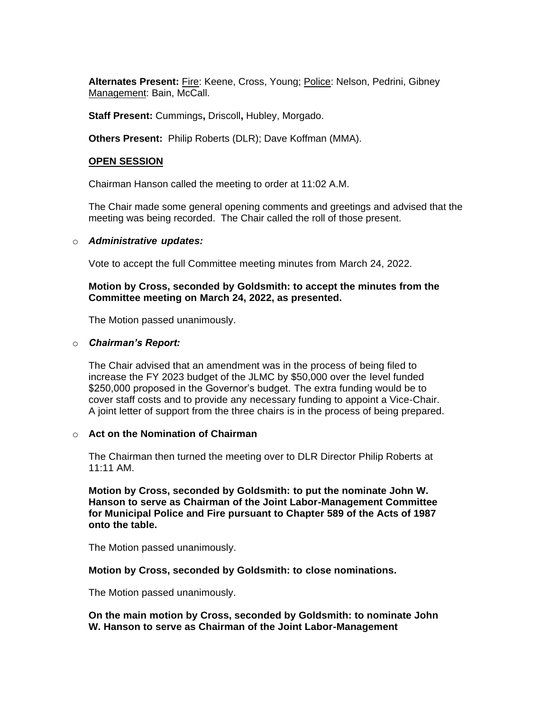**Alternates Present:** Fire: Keene, Cross, Young; Police: Nelson, Pedrini, Gibney Management: Bain, McCall.

**Staff Present:** Cummings**,** Driscoll**,** Hubley, Morgado.

**Others Present:** Philip Roberts (DLR); Dave Koffman (MMA).

#### **OPEN SESSION**

Chairman Hanson called the meeting to order at 11:02 A.M.

The Chair made some general opening comments and greetings and advised that the meeting was being recorded. The Chair called the roll of those present.

#### o *Administrative updates:*

Vote to accept the full Committee meeting minutes from March 24, 2022.

#### **Motion by Cross, seconded by Goldsmith: to accept the minutes from the Committee meeting on March 24, 2022, as presented.**

The Motion passed unanimously.

#### o *Chairman's Report:*

The Chair advised that an amendment was in the process of being filed to increase the FY 2023 budget of the JLMC by \$50,000 over the level funded \$250,000 proposed in the Governor's budget. The extra funding would be to cover staff costs and to provide any necessary funding to appoint a Vice-Chair. A joint letter of support from the three chairs is in the process of being prepared.

#### o **Act on the Nomination of Chairman**

The Chairman then turned the meeting over to DLR Director Philip Roberts at 11:11 AM.

**Motion by Cross, seconded by Goldsmith: to put the nominate John W. Hanson to serve as Chairman of the Joint Labor-Management Committee for Municipal Police and Fire pursuant to Chapter 589 of the Acts of 1987 onto the table.**

The Motion passed unanimously.

#### **Motion by Cross, seconded by Goldsmith: to close nominations.**

The Motion passed unanimously.

#### **On the main motion by Cross, seconded by Goldsmith: to nominate John W. Hanson to serve as Chairman of the Joint Labor-Management**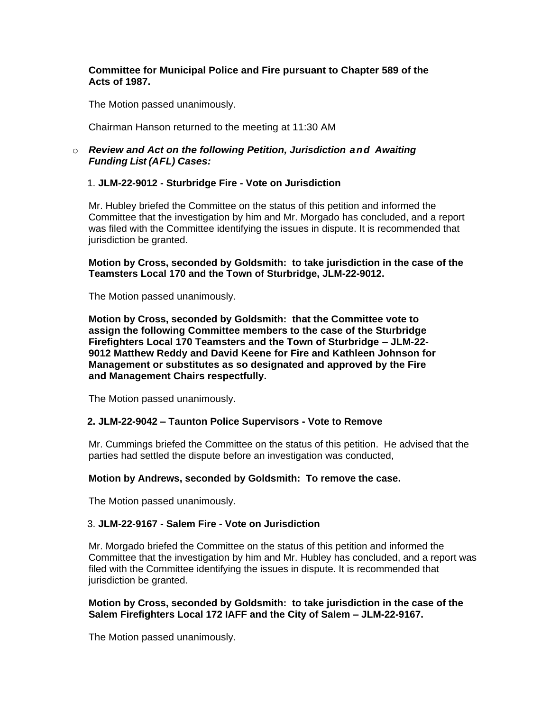### **Committee for Municipal Police and Fire pursuant to Chapter 589 of the Acts of 1987.**

The Motion passed unanimously.

Chairman Hanson returned to the meeting at 11:30 AM

## o *Review and Act on the following Petition, Jurisdiction and Awaiting Funding List (AFL) Cases:*

## 1. **JLM-22-9012 - Sturbridge Fire - Vote on Jurisdiction**

Mr. Hubley briefed the Committee on the status of this petition and informed the Committee that the investigation by him and Mr. Morgado has concluded, and a report was filed with the Committee identifying the issues in dispute. It is recommended that jurisdiction be granted.

**Motion by Cross, seconded by Goldsmith: to take jurisdiction in the case of the Teamsters Local 170 and the Town of Sturbridge, JLM-22-9012.** 

The Motion passed unanimously.

**Motion by Cross, seconded by Goldsmith: that the Committee vote to assign the following Committee members to the case of the Sturbridge Firefighters Local 170 Teamsters and the Town of Sturbridge – JLM-22- 9012 Matthew Reddy and David Keene for Fire and Kathleen Johnson for Management or substitutes as so designated and approved by the Fire and Management Chairs respectfully.**

The Motion passed unanimously.

## **2. JLM-22-9042 – Taunton Police Supervisors - Vote to Remove**

Mr. Cummings briefed the Committee on the status of this petition. He advised that the parties had settled the dispute before an investigation was conducted,

## **Motion by Andrews, seconded by Goldsmith: To remove the case.**

The Motion passed unanimously.

## 3. **JLM-22-9167 - Salem Fire - Vote on Jurisdiction**

Mr. Morgado briefed the Committee on the status of this petition and informed the Committee that the investigation by him and Mr. Hubley has concluded, and a report was filed with the Committee identifying the issues in dispute. It is recommended that jurisdiction be granted.

## **Motion by Cross, seconded by Goldsmith: to take jurisdiction in the case of the Salem Firefighters Local 172 IAFF and the City of Salem – JLM-22-9167.**

The Motion passed unanimously.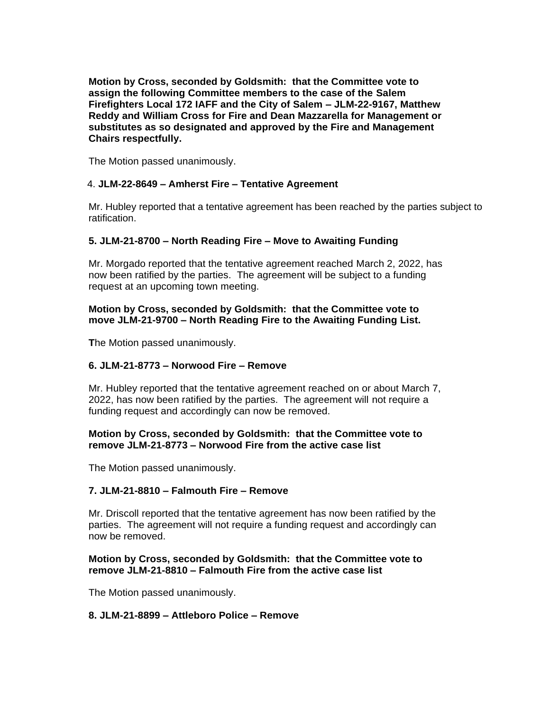**Motion by Cross, seconded by Goldsmith: that the Committee vote to assign the following Committee members to the case of the Salem Firefighters Local 172 IAFF and the City of Salem – JLM-22-9167, Matthew Reddy and William Cross for Fire and Dean Mazzarella for Management or substitutes as so designated and approved by the Fire and Management Chairs respectfully.**

The Motion passed unanimously.

## 4. **JLM-22-8649 – Amherst Fire – Tentative Agreement**

Mr. Hubley reported that a tentative agreement has been reached by the parties subject to ratification.

## **5. JLM-21-8700 – North Reading Fire – Move to Awaiting Funding**

Mr. Morgado reported that the tentative agreement reached March 2, 2022, has now been ratified by the parties. The agreement will be subject to a funding request at an upcoming town meeting.

## **Motion by Cross, seconded by Goldsmith: that the Committee vote to move JLM-21-9700 – North Reading Fire to the Awaiting Funding List.**

**T**he Motion passed unanimously.

# **6. JLM-21-8773 – Norwood Fire – Remove**

Mr. Hubley reported that the tentative agreement reached on or about March 7, 2022, has now been ratified by the parties. The agreement will not require a funding request and accordingly can now be removed.

### **Motion by Cross, seconded by Goldsmith: that the Committee vote to remove JLM-21-8773 – Norwood Fire from the active case list**

The Motion passed unanimously.

## **7. JLM-21-8810 – Falmouth Fire – Remove**

Mr. Driscoll reported that the tentative agreement has now been ratified by the parties. The agreement will not require a funding request and accordingly can now be removed.

## **Motion by Cross, seconded by Goldsmith: that the Committee vote to remove JLM-21-8810 – Falmouth Fire from the active case list**

The Motion passed unanimously.

## **8. JLM-21-8899 – Attleboro Police – Remove**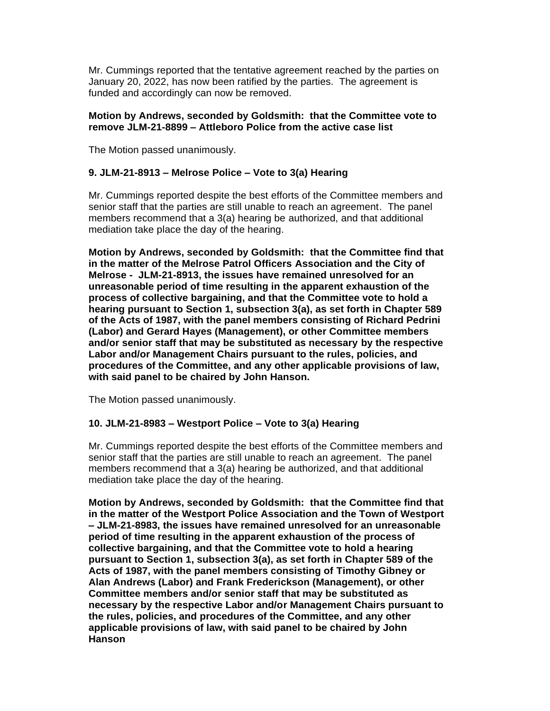Mr. Cummings reported that the tentative agreement reached by the parties on January 20, 2022, has now been ratified by the parties. The agreement is funded and accordingly can now be removed.

#### **Motion by Andrews, seconded by Goldsmith: that the Committee vote to remove JLM-21-8899 – Attleboro Police from the active case list**

The Motion passed unanimously.

## **9. JLM-21-8913 – Melrose Police – Vote to 3(a) Hearing**

Mr. Cummings reported despite the best efforts of the Committee members and senior staff that the parties are still unable to reach an agreement. The panel members recommend that a 3(a) hearing be authorized, and that additional mediation take place the day of the hearing.

**Motion by Andrews, seconded by Goldsmith: that the Committee find that in the matter of the Melrose Patrol Officers Association and the City of Melrose - JLM-21-8913, the issues have remained unresolved for an unreasonable period of time resulting in the apparent exhaustion of the process of collective bargaining, and that the Committee vote to hold a hearing pursuant to Section 1, subsection 3(a), as set forth in Chapter 589 of the Acts of 1987, with the panel members consisting of Richard Pedrini (Labor) and Gerard Hayes (Management), or other Committee members and/or senior staff that may be substituted as necessary by the respective Labor and/or Management Chairs pursuant to the rules, policies, and procedures of the Committee, and any other applicable provisions of law, with said panel to be chaired by John Hanson.**

The Motion passed unanimously.

#### **10. JLM-21-8983 – Westport Police – Vote to 3(a) Hearing**

Mr. Cummings reported despite the best efforts of the Committee members and senior staff that the parties are still unable to reach an agreement. The panel members recommend that a 3(a) hearing be authorized, and that additional mediation take place the day of the hearing.

**Motion by Andrews, seconded by Goldsmith: that the Committee find that in the matter of the Westport Police Association and the Town of Westport – JLM-21-8983, the issues have remained unresolved for an unreasonable period of time resulting in the apparent exhaustion of the process of collective bargaining, and that the Committee vote to hold a hearing pursuant to Section 1, subsection 3(a), as set forth in Chapter 589 of the Acts of 1987, with the panel members consisting of Timothy Gibney or Alan Andrews (Labor) and Frank Frederickson (Management), or other Committee members and/or senior staff that may be substituted as necessary by the respective Labor and/or Management Chairs pursuant to the rules, policies, and procedures of the Committee, and any other applicable provisions of law, with said panel to be chaired by John Hanson**